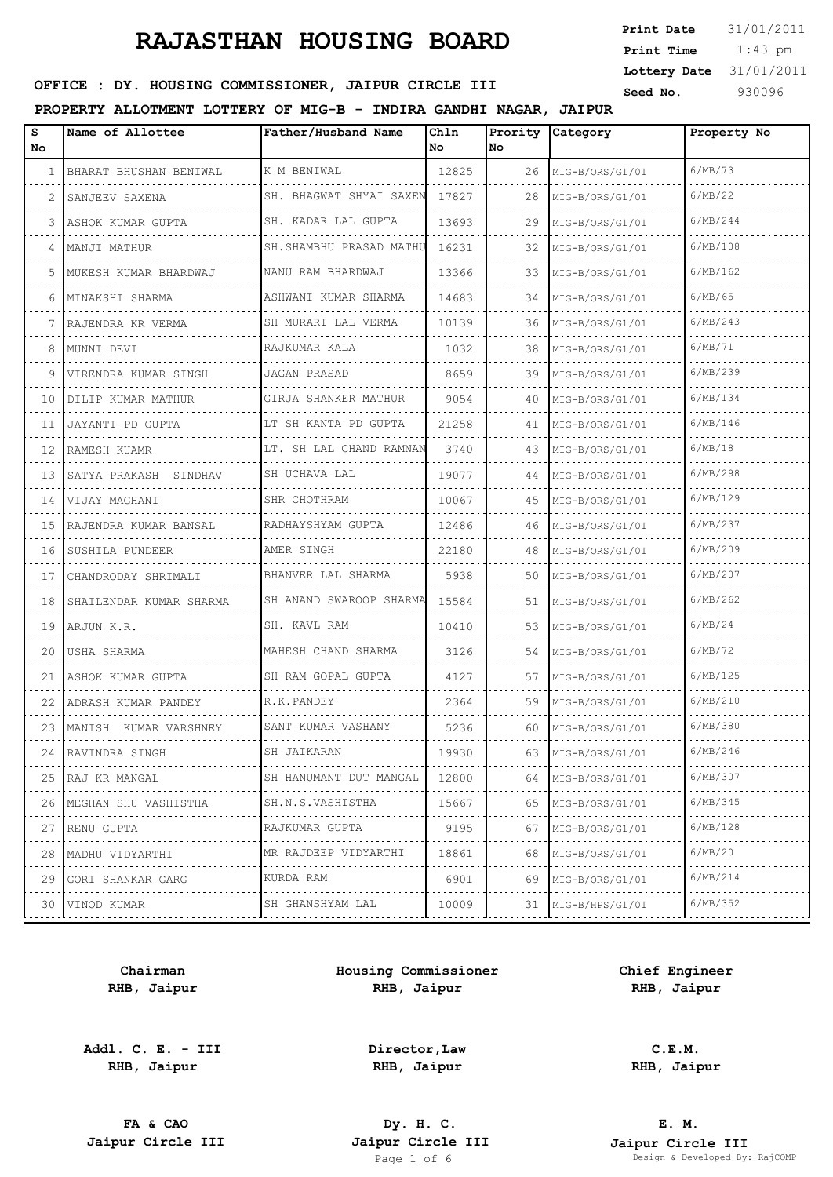1:43 pm **Print Date**  $31/01/2011$ **Print Time Lottery Date** 31/01/2011

### **SEED OFFICE : DY. HOUSING COMMISSIONER, JAIPUR CIRCLE III** Seed No. 330096

#### **PROPERTY ALLOTMENT LOTTERY OF MIG-B - INDIRA GANDHI NAGAR, JAIPUR**

| s<br>No. | Name of Allottee             | Father/Husband Name          | Chln<br>No. | Prority<br>No. | Category             | Property No |
|----------|------------------------------|------------------------------|-------------|----------------|----------------------|-------------|
| 1        | BHARAT BHUSHAN BENIWAL       | K M BENIWAL                  | 12825       |                | 26 MIG-B/ORS/G1/01   | 6/MB/73     |
| 2        | SANJEEV SAXENA<br>.          | SH. BHAGWAT SHYAI SAXEN<br>. | 17827       | 28             | MIG-B/ORS/G1/01      | 6/MB/22     |
| 3        | ASHOK KUMAR GUPTA            | SH. KADAR LAL GUPTA          | 13693       | 29             | MIG-B/ORS/G1/01      | 6/MB/244    |
| 4        | MANJI MATHUR                 | SH. SHAMBHU PRASAD MATHU     | 16231       | 32             | MIG-B/ORS/G1/01      | 6/MB/108    |
| 5        | MUKESH KUMAR BHARDWAJ        | NANU RAM BHARDWAJ            | 13366       | 33             | MIG-B/ORS/G1/01      | 6/MB/162    |
| 6        | MINAKSHI SHARMA              | ASHWANI KUMAR SHARMA         | 14683       | 34             | MIG-B/ORS/G1/01      | 6/MB/65     |
| 7        | RAJENDRA KR VERMA            | SH MURARI LAL VERMA          | 10139       | 36             | MIG-B/ORS/G1/01      | 6/MB/243    |
| 8        | MUNNI DEVI                   | RAJKUMAR KALA                | 1032        | 38             | MIG-B/ORS/G1/01      | 6/MB/71     |
| 9        | VIRENDRA KUMAR SINGH         | JAGAN PRASAD                 | 8659        | 39             | MIG-B/ORS/G1/01      | 6/MB/239    |
| 10       | DILIP KUMAR MATHUR           | GIRJA SHANKER MATHUR         | 9054        | 40             | MIG-B/ORS/G1/01      | 6/MB/134    |
| 11       | JAYANTI PD GUPTA             | LT SH KANTA PD GUPTA         | 21258       | 41             | MIG-B/ORS/G1/01      | 6/MB/146    |
| 12       | RAMESH KUAMR                 | LT. SH LAL CHAND RAMNAN      | 3740        | 43             | MIG-B/ORS/G1/01      | 6/MB/18     |
| 13       | SATYA PRAKASH SINDHAV        | SH UCHAVA LAL                | 19077       | 44             | MIG-B/ORS/G1/01      | 6/MB/298    |
| 14       | VIJAY MAGHANI                | SHR CHOTHRAM                 | 10067       | 45             | MIG-B/ORS/G1/01<br>. | 6/MB/129    |
| 15       | RAJENDRA KUMAR BANSAL        | RADHAYSHYAM GUPTA            | 12486       | 46             | MIG-B/ORS/G1/01      | 6/MB/237    |
| 16       | SUSHILA PUNDEER<br>.         | AMER SINGH<br>.              | 22180       | 48             | MIG-B/ORS/G1/01<br>. | 6/MB/209    |
| 17       | CHANDRODAY SHRIMALI          | BHANVER LAL SHARMA           | 5938        | 50             | MIG-B/ORS/G1/01      | 6/MB/207    |
| 18       | SHAILENDAR KUMAR SHARMA<br>. | SH ANAND SWAROOP SHARMA      | 15584       | 51             | MIG-B/ORS/G1/01<br>. | 6/MB/262    |
| 19       | ARJUN K.R.                   | SH. KAVL RAM                 | 10410       | 53             | MIG-B/ORS/G1/01      | 6/MB/24     |
| 20       | USHA SHARMA                  | MAHESH CHAND SHARMA<br>.     | 3126        | 54             | MIG-B/ORS/G1/01      | 6/MB/72     |
| 21       | ASHOK KUMAR GUPTA            | SH RAM GOPAL GUPTA           | 4127        | 57             | MIG-B/ORS/G1/01      | 6/MB/125    |
| 22       | ADRASH KUMAR PANDEY          | R.K.PANDEY                   | 2364        | 59             | MIG-B/ORS/G1/01      | 6/MB/210    |
| 23       | MANISH KUMAR VARSHNEY        | SANT KUMAR VASHANY           | 5236        | 60             | MIG-B/ORS/G1/01      | 6/MB/380    |
|          | 24  RAVINDRA SINGH           | SH JAIKARAN                  | 19930       | 63             | MIG-B/ORS/G1/01      | 6/MB/246    |
| 25       | RAJ KR MANGAL                | SH HANUMANT DUT MANGAL<br>.  | 12800       | 64             | MIG-B/ORS/G1/01      | 6/MB/307    |
| 26       | MEGHAN SHU VASHISTHA         | SH.N.S.VASHISTHA             | 15667       | 65             | MIG-B/ORS/G1/01      | 6/MB/345    |
| 27       | RENU GUPTA                   | RAJKUMAR GUPTA<br>.          | 9195        | 67             | MIG-B/ORS/G1/01      | 6/MB/128    |
| 28       | MADHU VIDYARTHI              | MR RAJDEEP VIDYARTHI         | 18861       | 68             | MIG-B/ORS/G1/01      | 6/MB/20     |
| 29       | GORI SHANKAR GARG            | KURDA RAM                    | 6901        | 69             | MIG-B/ORS/G1/01      | 6/MB/214    |
| 30       | VINOD KUMAR                  | SH GHANSHYAM LAL             | 10009       | 31             | MIG-B/HPS/G1/01      | 6/MB/352    |
|          |                              |                              |             |                |                      |             |

**Chairman RHB, Jaipur**

**Addl. C. E. - III RHB, Jaipur**

**Housing Commissioner RHB, Jaipur**

**Chief Engineer RHB, Jaipur**

**Director,Law RHB, Jaipur**

**C.E.M. RHB, Jaipur**

**FA & CAO Dy. H. C.**

**E. M. Jaipur Circle III Jaipur Circle III Jaipur Circle III Jaipur Circle III Jaipur Circle III Page 1 of 6 Design & Developed By:** Pesign & Developed By: RajCOMP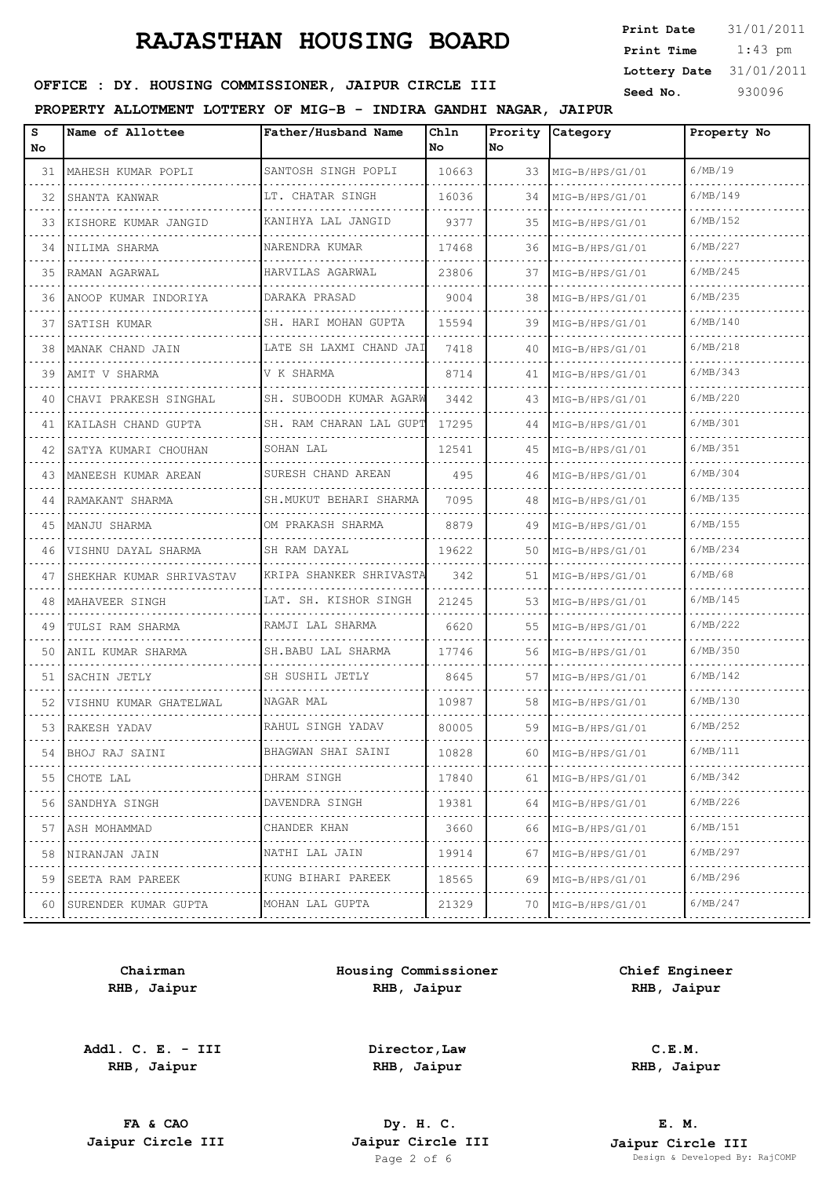| <b>Print Date</b> | 31/01/2011 |
|-------------------|------------|
| Print Time        | $1:43$ pm  |
| Lottery Date      | 31/01/2011 |
| Seed No.          | 930096     |

## **OFFICE : DY. HOUSING COMMISSIONER, JAIPUR CIRCLE III** Seed No. 930096

#### **PROPERTY ALLOTMENT LOTTERY OF MIG-B - INDIRA GANDHI NAGAR, JAIPUR**

| 6/MB/19<br>SANTOSH SINGH POPLI<br>10663<br>MAHESH KUMAR POPLI<br>33<br>MIG-B/HPS/G1/01<br>31<br>.<br>6/MB/149<br>LT. CHATAR SINGH<br>16036<br>32<br>SHANTA KANWAR<br>34<br>MIG-B/HPS/G1/01<br>.<br>6/MB/152<br>KANIHYA LAL JANGID<br>9377<br>KISHORE KUMAR JANGID<br>35<br>MIG-B/HPS/G1/01<br>33.<br>.<br>.<br>6/MB/227<br>NARENDRA KUMAR<br>INILIMA SHARMA<br>17468<br>34<br>36<br>MIG-B/HPS/G1/01<br>HARVILAS AGARWAL<br>6/MB/245<br>23806<br>35<br>37<br> RAMAN AGARWAL<br>MIG-B/HPS/G1/01<br>6/MB/235<br>DARAKA PRASAD<br>9004<br>38<br>MIG-B/HPS/G1/01<br>36<br>ANOOP KUMAR INDORIYA<br>.<br>6/MB/140<br>SH. HARI MOHAN GUPTA<br>15594<br>39<br>MIG-B/HPS/G1/01<br>37<br>SATISH KUMAR<br>6/MB/218<br>LATE SH LAXMI CHAND JAI<br>38<br>7418<br> MANAK CHAND JAIN<br>40<br>MIG-B/HPS/G1/01<br>6/MB/343<br>V K SHARMA<br>39<br>AMIT V SHARMA<br>8714<br>MIG-B/HPS/G1/01<br>41<br>6/MB/220<br>SH. SUBOODH KUMAR AGARW<br>3442<br>40<br>CHAVI PRAKESH SINGHAL<br>43<br>MIG-B/HPS/G1/01<br>SH. RAM CHARAN LAL GUPT<br>6/MB/301<br>KAILASH CHAND GUPTA<br>17295<br>44<br>MIG-B/HPS/G1/01<br>41<br>6/MB/351<br>SOHAN LAL<br>12541<br>45<br>42<br>SATYA KUMARI CHOUHAN<br>MIG-B/HPS/G1/01<br>6/MB/304<br>SURESH CHAND AREAN<br>495<br>46<br>MIG-B/HPS/G1/01<br>43<br>MANEESH KUMAR AREAN<br>6/MB/135<br>SH.MUKUT BEHARI SHARMA<br>7095<br>48<br>MIG-B/HPS/G1/01<br>44<br>RAMAKANT SHARMA<br>6/MB/155<br>OM PRAKASH SHARMA<br>8879<br>45<br>MANJU SHARMA<br>49<br>MIG-B/HPS/G1/01<br>6/MB/234<br>SH RAM DAYAL<br>19622<br>VISHNU DAYAL SHARMA<br>50<br>46<br>MIG-B/HPS/G1/01<br>6/MB/68<br>KRIPA SHANKER SHRIVASTA<br>342<br>51<br>MIG-B/HPS/G1/01<br>47<br>SHEKHAR KUMAR SHRIVASTAV<br>6/MB/145<br>LAT. SH. KISHOR SINGH<br>48<br>21245<br>53<br>MAHAVEER SINGH<br>MIG-B/HPS/G1/01<br>RAMJI LAL SHARMA<br>6/MB/222<br>6620<br>49<br>TULSI RAM SHARMA<br>55<br>MIG-B/HPS/G1/01<br>6/MB/350<br>SH.BABU LAL SHARMA<br>17746<br>56<br>50<br>MIG-B/HPS/G1/01<br>ANIL KUMAR SHARMA<br>6/MB/142<br>SH SUSHIL JETLY<br>8645<br>57<br>MIG-B/HPS/G1/01<br>51<br>SACHIN JETLY<br>6/MB/130<br>NAGAR MAL<br>10987<br>52<br>VISHNU KUMAR GHATELWAL<br>58<br>MIG-B/HPS/G1/01<br>6/MB/252<br>RAHUL SINGH YADAV<br>80005<br>53 RAKESH YADAV<br>59<br>MIG-B/HPS/G1/01<br>54<br>BHAGWAN SHAI SAINI<br>10828<br>6/MB/111<br> BHOJ RAJ SAINI<br>60<br>MIG-B/HPS/G1/01<br>6/MB/342<br>DHRAM SINGH<br>55<br>17840<br>CHOTE LAL<br>61<br>MIG-B/HPS/G1/01<br>.<br>6/MB/226<br>DAVENDRA SINGH<br>56<br>19381<br>SANDHYA SINGH<br>64<br>MIG-B/HPS/G1/01<br>CHANDER KHAN<br>6/MB/151<br>3660<br>66<br>57<br>ASH MOHAMMAD<br>MIG-B/HPS/G1/01<br>.<br>.<br>.<br>6/MB/297<br>19914<br>58<br>NATHI LAL JAIN<br>67<br>MIG-B/HPS/G1/01<br>NIRANJAN JAIN<br>6/MB/296<br>59<br>KUNG BIHARI PAREEK<br>18565<br>SEETA RAM PAREEK<br>69<br>MIG-B/HPS/G1/01<br>.<br>.<br>.<br>6/MB/247<br>60<br>MOHAN LAL GUPTA<br>21329<br>SURENDER KUMAR GUPTA<br>70<br>MIG-B/HPS/G1/01 | S<br>No | Name of Allottee | Father/Husband Name | Chln<br>No | No. | Prority Category | Property No |
|-------------------------------------------------------------------------------------------------------------------------------------------------------------------------------------------------------------------------------------------------------------------------------------------------------------------------------------------------------------------------------------------------------------------------------------------------------------------------------------------------------------------------------------------------------------------------------------------------------------------------------------------------------------------------------------------------------------------------------------------------------------------------------------------------------------------------------------------------------------------------------------------------------------------------------------------------------------------------------------------------------------------------------------------------------------------------------------------------------------------------------------------------------------------------------------------------------------------------------------------------------------------------------------------------------------------------------------------------------------------------------------------------------------------------------------------------------------------------------------------------------------------------------------------------------------------------------------------------------------------------------------------------------------------------------------------------------------------------------------------------------------------------------------------------------------------------------------------------------------------------------------------------------------------------------------------------------------------------------------------------------------------------------------------------------------------------------------------------------------------------------------------------------------------------------------------------------------------------------------------------------------------------------------------------------------------------------------------------------------------------------------------------------------------------------------------------------------------------------------------------------------------------------------------------------------------------------------------------------------------------------------------------------------------------------------------------------------------------------------------------------------------------------------------------------------------------------------------------------------------------------------------------------------------------------|---------|------------------|---------------------|------------|-----|------------------|-------------|
|                                                                                                                                                                                                                                                                                                                                                                                                                                                                                                                                                                                                                                                                                                                                                                                                                                                                                                                                                                                                                                                                                                                                                                                                                                                                                                                                                                                                                                                                                                                                                                                                                                                                                                                                                                                                                                                                                                                                                                                                                                                                                                                                                                                                                                                                                                                                                                                                                                                                                                                                                                                                                                                                                                                                                                                                                                                                                                                               |         |                  |                     |            |     |                  |             |
|                                                                                                                                                                                                                                                                                                                                                                                                                                                                                                                                                                                                                                                                                                                                                                                                                                                                                                                                                                                                                                                                                                                                                                                                                                                                                                                                                                                                                                                                                                                                                                                                                                                                                                                                                                                                                                                                                                                                                                                                                                                                                                                                                                                                                                                                                                                                                                                                                                                                                                                                                                                                                                                                                                                                                                                                                                                                                                                               |         |                  |                     |            |     |                  |             |
|                                                                                                                                                                                                                                                                                                                                                                                                                                                                                                                                                                                                                                                                                                                                                                                                                                                                                                                                                                                                                                                                                                                                                                                                                                                                                                                                                                                                                                                                                                                                                                                                                                                                                                                                                                                                                                                                                                                                                                                                                                                                                                                                                                                                                                                                                                                                                                                                                                                                                                                                                                                                                                                                                                                                                                                                                                                                                                                               |         |                  |                     |            |     |                  |             |
|                                                                                                                                                                                                                                                                                                                                                                                                                                                                                                                                                                                                                                                                                                                                                                                                                                                                                                                                                                                                                                                                                                                                                                                                                                                                                                                                                                                                                                                                                                                                                                                                                                                                                                                                                                                                                                                                                                                                                                                                                                                                                                                                                                                                                                                                                                                                                                                                                                                                                                                                                                                                                                                                                                                                                                                                                                                                                                                               |         |                  |                     |            |     |                  |             |
|                                                                                                                                                                                                                                                                                                                                                                                                                                                                                                                                                                                                                                                                                                                                                                                                                                                                                                                                                                                                                                                                                                                                                                                                                                                                                                                                                                                                                                                                                                                                                                                                                                                                                                                                                                                                                                                                                                                                                                                                                                                                                                                                                                                                                                                                                                                                                                                                                                                                                                                                                                                                                                                                                                                                                                                                                                                                                                                               |         |                  |                     |            |     |                  |             |
|                                                                                                                                                                                                                                                                                                                                                                                                                                                                                                                                                                                                                                                                                                                                                                                                                                                                                                                                                                                                                                                                                                                                                                                                                                                                                                                                                                                                                                                                                                                                                                                                                                                                                                                                                                                                                                                                                                                                                                                                                                                                                                                                                                                                                                                                                                                                                                                                                                                                                                                                                                                                                                                                                                                                                                                                                                                                                                                               |         |                  |                     |            |     |                  |             |
|                                                                                                                                                                                                                                                                                                                                                                                                                                                                                                                                                                                                                                                                                                                                                                                                                                                                                                                                                                                                                                                                                                                                                                                                                                                                                                                                                                                                                                                                                                                                                                                                                                                                                                                                                                                                                                                                                                                                                                                                                                                                                                                                                                                                                                                                                                                                                                                                                                                                                                                                                                                                                                                                                                                                                                                                                                                                                                                               |         |                  |                     |            |     |                  |             |
|                                                                                                                                                                                                                                                                                                                                                                                                                                                                                                                                                                                                                                                                                                                                                                                                                                                                                                                                                                                                                                                                                                                                                                                                                                                                                                                                                                                                                                                                                                                                                                                                                                                                                                                                                                                                                                                                                                                                                                                                                                                                                                                                                                                                                                                                                                                                                                                                                                                                                                                                                                                                                                                                                                                                                                                                                                                                                                                               |         |                  |                     |            |     |                  |             |
|                                                                                                                                                                                                                                                                                                                                                                                                                                                                                                                                                                                                                                                                                                                                                                                                                                                                                                                                                                                                                                                                                                                                                                                                                                                                                                                                                                                                                                                                                                                                                                                                                                                                                                                                                                                                                                                                                                                                                                                                                                                                                                                                                                                                                                                                                                                                                                                                                                                                                                                                                                                                                                                                                                                                                                                                                                                                                                                               |         |                  |                     |            |     |                  |             |
|                                                                                                                                                                                                                                                                                                                                                                                                                                                                                                                                                                                                                                                                                                                                                                                                                                                                                                                                                                                                                                                                                                                                                                                                                                                                                                                                                                                                                                                                                                                                                                                                                                                                                                                                                                                                                                                                                                                                                                                                                                                                                                                                                                                                                                                                                                                                                                                                                                                                                                                                                                                                                                                                                                                                                                                                                                                                                                                               |         |                  |                     |            |     |                  |             |
|                                                                                                                                                                                                                                                                                                                                                                                                                                                                                                                                                                                                                                                                                                                                                                                                                                                                                                                                                                                                                                                                                                                                                                                                                                                                                                                                                                                                                                                                                                                                                                                                                                                                                                                                                                                                                                                                                                                                                                                                                                                                                                                                                                                                                                                                                                                                                                                                                                                                                                                                                                                                                                                                                                                                                                                                                                                                                                                               |         |                  |                     |            |     |                  |             |
|                                                                                                                                                                                                                                                                                                                                                                                                                                                                                                                                                                                                                                                                                                                                                                                                                                                                                                                                                                                                                                                                                                                                                                                                                                                                                                                                                                                                                                                                                                                                                                                                                                                                                                                                                                                                                                                                                                                                                                                                                                                                                                                                                                                                                                                                                                                                                                                                                                                                                                                                                                                                                                                                                                                                                                                                                                                                                                                               |         |                  |                     |            |     |                  |             |
|                                                                                                                                                                                                                                                                                                                                                                                                                                                                                                                                                                                                                                                                                                                                                                                                                                                                                                                                                                                                                                                                                                                                                                                                                                                                                                                                                                                                                                                                                                                                                                                                                                                                                                                                                                                                                                                                                                                                                                                                                                                                                                                                                                                                                                                                                                                                                                                                                                                                                                                                                                                                                                                                                                                                                                                                                                                                                                                               |         |                  |                     |            |     |                  |             |
|                                                                                                                                                                                                                                                                                                                                                                                                                                                                                                                                                                                                                                                                                                                                                                                                                                                                                                                                                                                                                                                                                                                                                                                                                                                                                                                                                                                                                                                                                                                                                                                                                                                                                                                                                                                                                                                                                                                                                                                                                                                                                                                                                                                                                                                                                                                                                                                                                                                                                                                                                                                                                                                                                                                                                                                                                                                                                                                               |         |                  |                     |            |     |                  |             |
|                                                                                                                                                                                                                                                                                                                                                                                                                                                                                                                                                                                                                                                                                                                                                                                                                                                                                                                                                                                                                                                                                                                                                                                                                                                                                                                                                                                                                                                                                                                                                                                                                                                                                                                                                                                                                                                                                                                                                                                                                                                                                                                                                                                                                                                                                                                                                                                                                                                                                                                                                                                                                                                                                                                                                                                                                                                                                                                               |         |                  |                     |            |     |                  |             |
|                                                                                                                                                                                                                                                                                                                                                                                                                                                                                                                                                                                                                                                                                                                                                                                                                                                                                                                                                                                                                                                                                                                                                                                                                                                                                                                                                                                                                                                                                                                                                                                                                                                                                                                                                                                                                                                                                                                                                                                                                                                                                                                                                                                                                                                                                                                                                                                                                                                                                                                                                                                                                                                                                                                                                                                                                                                                                                                               |         |                  |                     |            |     |                  |             |
|                                                                                                                                                                                                                                                                                                                                                                                                                                                                                                                                                                                                                                                                                                                                                                                                                                                                                                                                                                                                                                                                                                                                                                                                                                                                                                                                                                                                                                                                                                                                                                                                                                                                                                                                                                                                                                                                                                                                                                                                                                                                                                                                                                                                                                                                                                                                                                                                                                                                                                                                                                                                                                                                                                                                                                                                                                                                                                                               |         |                  |                     |            |     |                  |             |
|                                                                                                                                                                                                                                                                                                                                                                                                                                                                                                                                                                                                                                                                                                                                                                                                                                                                                                                                                                                                                                                                                                                                                                                                                                                                                                                                                                                                                                                                                                                                                                                                                                                                                                                                                                                                                                                                                                                                                                                                                                                                                                                                                                                                                                                                                                                                                                                                                                                                                                                                                                                                                                                                                                                                                                                                                                                                                                                               |         |                  |                     |            |     |                  |             |
|                                                                                                                                                                                                                                                                                                                                                                                                                                                                                                                                                                                                                                                                                                                                                                                                                                                                                                                                                                                                                                                                                                                                                                                                                                                                                                                                                                                                                                                                                                                                                                                                                                                                                                                                                                                                                                                                                                                                                                                                                                                                                                                                                                                                                                                                                                                                                                                                                                                                                                                                                                                                                                                                                                                                                                                                                                                                                                                               |         |                  |                     |            |     |                  |             |
|                                                                                                                                                                                                                                                                                                                                                                                                                                                                                                                                                                                                                                                                                                                                                                                                                                                                                                                                                                                                                                                                                                                                                                                                                                                                                                                                                                                                                                                                                                                                                                                                                                                                                                                                                                                                                                                                                                                                                                                                                                                                                                                                                                                                                                                                                                                                                                                                                                                                                                                                                                                                                                                                                                                                                                                                                                                                                                                               |         |                  |                     |            |     |                  |             |
|                                                                                                                                                                                                                                                                                                                                                                                                                                                                                                                                                                                                                                                                                                                                                                                                                                                                                                                                                                                                                                                                                                                                                                                                                                                                                                                                                                                                                                                                                                                                                                                                                                                                                                                                                                                                                                                                                                                                                                                                                                                                                                                                                                                                                                                                                                                                                                                                                                                                                                                                                                                                                                                                                                                                                                                                                                                                                                                               |         |                  |                     |            |     |                  |             |
|                                                                                                                                                                                                                                                                                                                                                                                                                                                                                                                                                                                                                                                                                                                                                                                                                                                                                                                                                                                                                                                                                                                                                                                                                                                                                                                                                                                                                                                                                                                                                                                                                                                                                                                                                                                                                                                                                                                                                                                                                                                                                                                                                                                                                                                                                                                                                                                                                                                                                                                                                                                                                                                                                                                                                                                                                                                                                                                               |         |                  |                     |            |     |                  |             |
|                                                                                                                                                                                                                                                                                                                                                                                                                                                                                                                                                                                                                                                                                                                                                                                                                                                                                                                                                                                                                                                                                                                                                                                                                                                                                                                                                                                                                                                                                                                                                                                                                                                                                                                                                                                                                                                                                                                                                                                                                                                                                                                                                                                                                                                                                                                                                                                                                                                                                                                                                                                                                                                                                                                                                                                                                                                                                                                               |         |                  |                     |            |     |                  |             |
|                                                                                                                                                                                                                                                                                                                                                                                                                                                                                                                                                                                                                                                                                                                                                                                                                                                                                                                                                                                                                                                                                                                                                                                                                                                                                                                                                                                                                                                                                                                                                                                                                                                                                                                                                                                                                                                                                                                                                                                                                                                                                                                                                                                                                                                                                                                                                                                                                                                                                                                                                                                                                                                                                                                                                                                                                                                                                                                               |         |                  |                     |            |     |                  |             |
|                                                                                                                                                                                                                                                                                                                                                                                                                                                                                                                                                                                                                                                                                                                                                                                                                                                                                                                                                                                                                                                                                                                                                                                                                                                                                                                                                                                                                                                                                                                                                                                                                                                                                                                                                                                                                                                                                                                                                                                                                                                                                                                                                                                                                                                                                                                                                                                                                                                                                                                                                                                                                                                                                                                                                                                                                                                                                                                               |         |                  |                     |            |     |                  |             |
|                                                                                                                                                                                                                                                                                                                                                                                                                                                                                                                                                                                                                                                                                                                                                                                                                                                                                                                                                                                                                                                                                                                                                                                                                                                                                                                                                                                                                                                                                                                                                                                                                                                                                                                                                                                                                                                                                                                                                                                                                                                                                                                                                                                                                                                                                                                                                                                                                                                                                                                                                                                                                                                                                                                                                                                                                                                                                                                               |         |                  |                     |            |     |                  |             |
|                                                                                                                                                                                                                                                                                                                                                                                                                                                                                                                                                                                                                                                                                                                                                                                                                                                                                                                                                                                                                                                                                                                                                                                                                                                                                                                                                                                                                                                                                                                                                                                                                                                                                                                                                                                                                                                                                                                                                                                                                                                                                                                                                                                                                                                                                                                                                                                                                                                                                                                                                                                                                                                                                                                                                                                                                                                                                                                               |         |                  |                     |            |     |                  |             |
|                                                                                                                                                                                                                                                                                                                                                                                                                                                                                                                                                                                                                                                                                                                                                                                                                                                                                                                                                                                                                                                                                                                                                                                                                                                                                                                                                                                                                                                                                                                                                                                                                                                                                                                                                                                                                                                                                                                                                                                                                                                                                                                                                                                                                                                                                                                                                                                                                                                                                                                                                                                                                                                                                                                                                                                                                                                                                                                               |         |                  |                     |            |     |                  |             |
|                                                                                                                                                                                                                                                                                                                                                                                                                                                                                                                                                                                                                                                                                                                                                                                                                                                                                                                                                                                                                                                                                                                                                                                                                                                                                                                                                                                                                                                                                                                                                                                                                                                                                                                                                                                                                                                                                                                                                                                                                                                                                                                                                                                                                                                                                                                                                                                                                                                                                                                                                                                                                                                                                                                                                                                                                                                                                                                               |         |                  |                     |            |     |                  |             |
|                                                                                                                                                                                                                                                                                                                                                                                                                                                                                                                                                                                                                                                                                                                                                                                                                                                                                                                                                                                                                                                                                                                                                                                                                                                                                                                                                                                                                                                                                                                                                                                                                                                                                                                                                                                                                                                                                                                                                                                                                                                                                                                                                                                                                                                                                                                                                                                                                                                                                                                                                                                                                                                                                                                                                                                                                                                                                                                               |         |                  | .                   |            |     |                  |             |

**Chairman RHB, Jaipur**

**Addl. C. E. - III RHB, Jaipur**

**Housing Commissioner RHB, Jaipur**

**Chief Engineer RHB, Jaipur**

**Director,Law RHB, Jaipur**

**C.E.M. RHB, Jaipur**

**FA & CAO Dy. H. C.**

**E. M. Jaipur Circle III Jaipur Circle III Jaipur Circle III Jaipur Circle III Jaipur Circle III Page 2** of 6 **Design & Developed By:** Pesign & Developed By: RajCOMP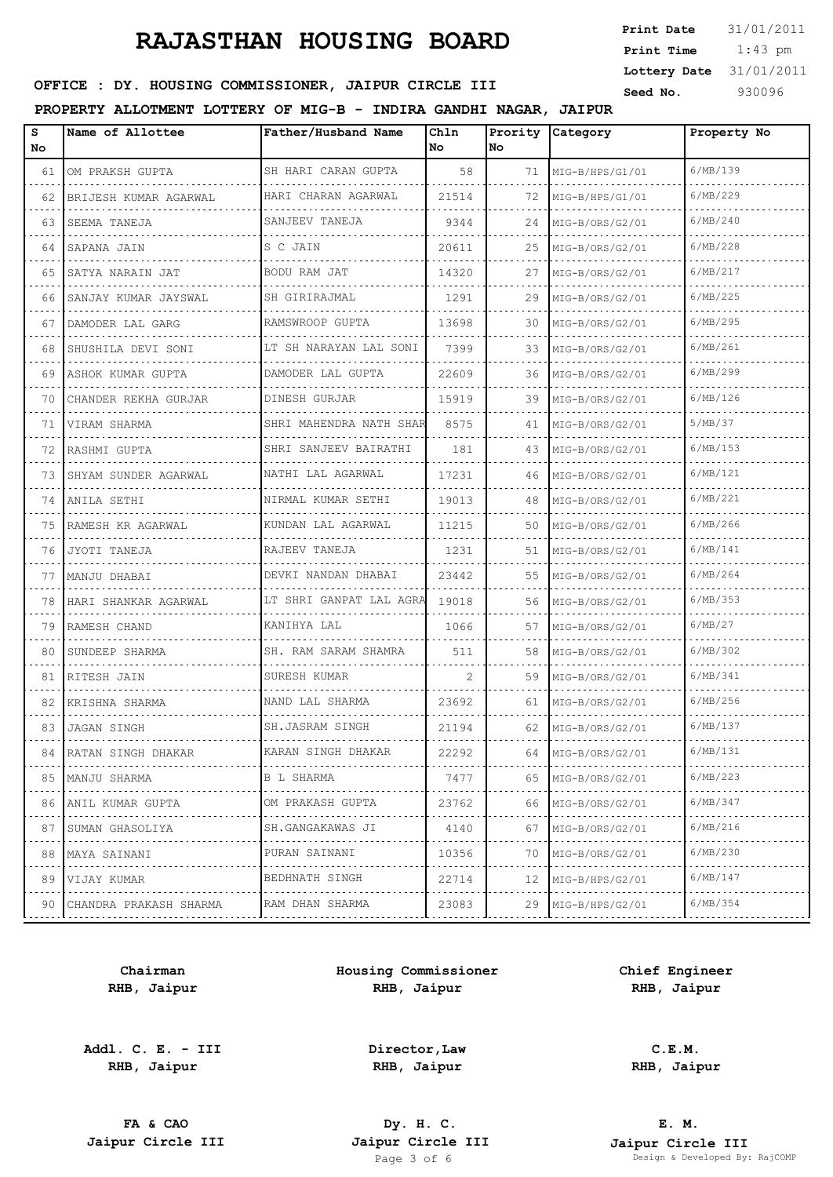| Print Date   | 31/01/2011 |
|--------------|------------|
| Print Time   | $1:43$ pm  |
| Lottery Date | 31/01/2011 |
| Seed No.     | 930096     |

## **OFFICE : DY. HOUSING COMMISSIONER, JAIPUR CIRCLE III** Seed No. 930096

#### **PROPERTY ALLOTMENT LOTTERY OF MIG-B - INDIRA GANDHI NAGAR, JAIPUR**

| s<br>No | Name of Allottee       | Father/Husband Name      | Ch1n<br>No | Prority<br>No. | Category             | Property No |
|---------|------------------------|--------------------------|------------|----------------|----------------------|-------------|
| 61      | OM PRAKSH GUPTA        | SH HARI CARAN GUPTA      | 58         | 71             | MIG-B/HPS/G1/01      | 6/MB/139    |
| 62      | BRIJESH KUMAR AGARWAL  | HARI CHARAN AGARWAL<br>. | 21514      | 72             | MIG-B/HPS/G1/01      | 6/MB/229    |
| 63      | SEEMA TANEJA           | SANJEEV TANEJA           | 9344       | 24             | MIG-B/ORS/G2/01      | 6/MB/240    |
| 64      | SAPANA JAIN            | S C JAIN                 | 20611      | 25             | MIG-B/ORS/G2/01      | 6/MB/228    |
| 65      | SATYA NARAIN JAT       | BODU RAM JAT             | 14320      | 27             | MIG-B/ORS/G2/01      | 6/MB/217    |
| 66      | SANJAY KUMAR JAYSWAL   | SH GIRIRAJMAL            | 1291       | 29             | MIG-B/ORS/G2/01      | 6/MB/225    |
| 67      | DAMODER LAL GARG       | RAMSWROOP GUPTA          | 13698      | 30             | MIG-B/ORS/G2/01      | 6/MB/295    |
| 68      | SHUSHILA DEVI SONI     | LT SH NARAYAN LAL SONI   | 7399       | 33             | MIG-B/ORS/G2/01      | 6/MB/261    |
| 69      | ASHOK KUMAR GUPTA      | DAMODER LAL GUPTA        | 22609      | 36             | MIG-B/ORS/G2/01      | 6/MB/299    |
| 70      | CHANDER REKHA GURJAR   | DINESH GURJAR<br>.       | 15919      | 39             | MIG-B/ORS/G2/01      | 6/MB/126    |
| 71      | VIRAM SHARMA           | SHRI MAHENDRA NATH SHAR  | 8575       | 41             | MIG-B/ORS/G2/01      | 5/MB/37     |
| 72      | RASHMI GUPTA           | SHRI SANJEEV BAIRATHI    | 181        | 43             | MIG-B/ORS/G2/01      | 6/MB/153    |
| 73      | SHYAM SUNDER AGARWAL   | NATHI LAL AGARWAL        | 17231      | 46             | MIG-B/ORS/G2/01      | 6/MB/121    |
| 74      | ANILA SETHI            | NIRMAL KUMAR SETHI<br>.  | 19013      | 48             | MIG-B/ORS/G2/01      | 6/MB/221    |
| 75      | RAMESH KR AGARWAL      | KUNDAN LAL AGARWAL       | 11215      | 50             | MIG-B/ORS/G2/01      | 6/MB/266    |
| 76      | JYOTI TANEJA           | RAJEEV TANEJA<br>.       | 1231       | 51             | MIG-B/ORS/G2/01<br>. | 6/MB/141    |
| 77      | MANJU DHABAI           | DEVKI NANDAN DHABAI      | 23442      | 55             | MIG-B/ORS/G2/01      | 6/MB/264    |
| 78      | HARI SHANKAR AGARWAL   | LT SHRI GANPAT LAL AGRA  | 19018      | 56             | MIG-B/ORS/G2/01<br>. | 6/MB/353    |
| 79      | RAMESH CHAND           | KANIHYA LAL              | 1066       | 57             | MIG-B/ORS/G2/01      | 6/MB/27     |
| 80      | SUNDEEP SHARMA         | SH. RAM SARAM SHAMRA     | 511        | 58             | MIG-B/ORS/G2/01      | 6/MB/302    |
| 81      | RITESH JAIN            | SURESH KUMAR             | 2          | 59             | MIG-B/ORS/G2/01      | 6/MB/341    |
| 82      | KRISHNA SHARMA         | NAND LAL SHARMA<br>.     | 23692      | 61             | MIG-B/ORS/G2/01      | 6/MB/256    |
| 83      | JAGAN SINGH            | SH.JASRAM SINGH          | 21194      | 62             | MIG-B/ORS/G2/01      | 6/MB/137    |
| 84      | RATAN SINGH DHAKAR     | KARAN SINGH DHAKAR       | 22292      | 64             | MIG-B/ORS/G2/01      | 6/MB/131    |
| 85      | MANJU SHARMA           | B L SHARMA               | 7477       | 65             | MIG-B/ORS/G2/01      | 6/MB/223    |
| 86      | ANIL KUMAR GUPTA       | OM PRAKASH GUPTA         | 23762      | 66             | MIG-B/ORS/G2/01      | 6/MB/347    |
| 87      | SUMAN GHASOLIYA        | SH.GANGAKAWAS JI<br>.    | 4140       | 67             | MIG-B/ORS/G2/01      | 6/MB/216    |
| 88      | MAYA SAINANI           | PURAN SAINANI            | 10356      | 70             | MIG-B/ORS/G2/01      | 6/MB/230    |
| 89      | VIJAY KUMAR            | BEDHNATH SINGH<br>.      | 22714      | 12             | MIG-B/HPS/G2/01      | 6/MB/147    |
| 90      | CHANDRA PRAKASH SHARMA | RAM DHAN SHARMA          | 23083      | 29             | MIG-B/HPS/G2/01      | 6/MB/354    |
|         |                        |                          |            |                |                      |             |

**Chairman RHB, Jaipur**

**Addl. C. E. - III RHB, Jaipur**

**Housing Commissioner RHB, Jaipur**

**Chief Engineer RHB, Jaipur**

**Director,Law RHB, Jaipur**

**FA & CAO Dy. H. C.**

**C.E.M. RHB, Jaipur**

**E. M. Jaipur Circle III Jaipur Circle III Jaipur Circle III Jaipur Circle III Jaipur Circle III Page 3 of 6 Design & Developed By:** Pesign & Developed By: RajCOMP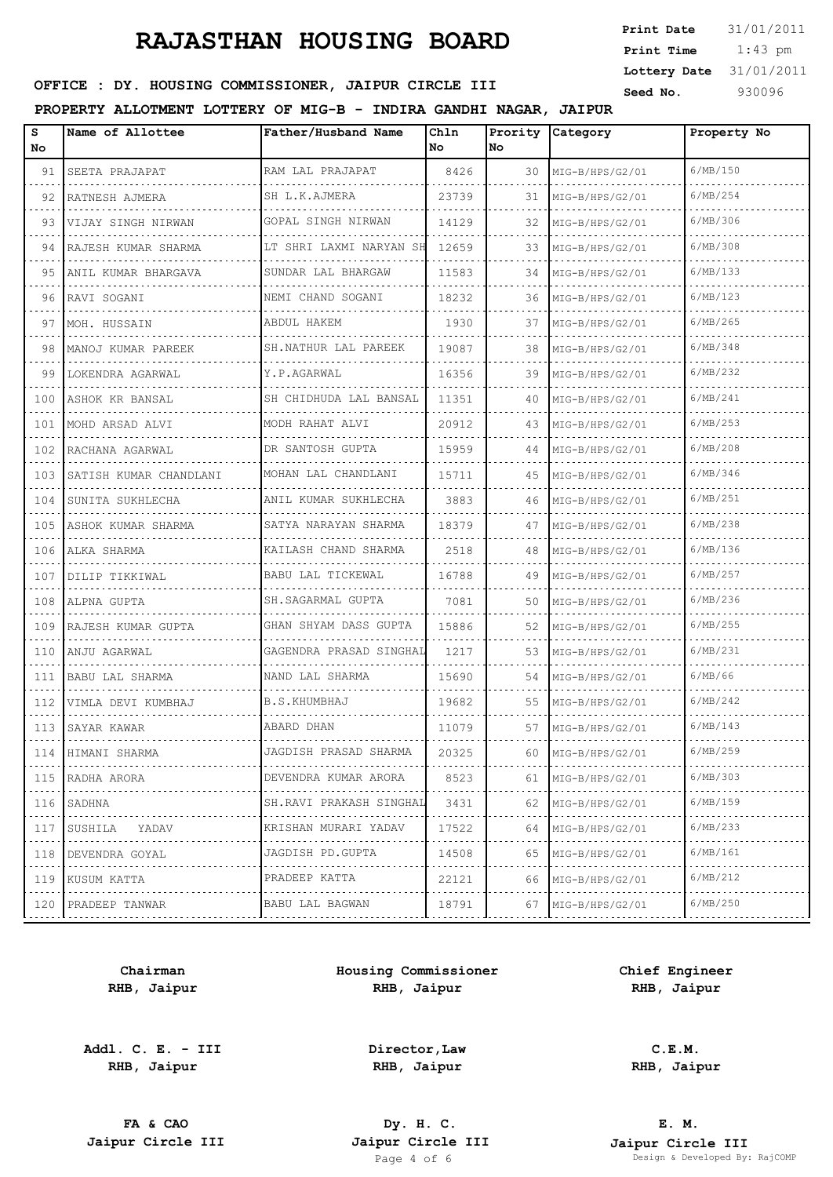1:43 pm **Print Date**  $31/01/2011$ **Print Time Lottery Date** 31/01/2011

### **SEED OFFICE : DY. HOUSING COMMISSIONER, JAIPUR CIRCLE III** Seed No. 330096

**PROPERTY ALLOTMENT LOTTERY OF MIG-B - INDIRA GANDHI NAGAR, JAIPUR**

| s<br>No | Name of Allottee       | Father/Husband Name            | Chln<br>l No | Prority<br>No. | Category                      | Property No |
|---------|------------------------|--------------------------------|--------------|----------------|-------------------------------|-------------|
| 91      | SEETA PRAJAPAT         | RAM LAL PRAJAPAT               | 8426         | 30             | MIG-B/HPS/G2/01               | 6/MB/150    |
| 92      | RATNESH AJMERA         | SH L.K.AJMERA                  | 23739        | 31             | MIG-B/HPS/G2/01               | 6/MB/254    |
| 93      | VIJAY SINGH NIRWAN     | .<br><b>GOPAL SINGH NIRWAN</b> | 14129        | 32             | MIG-B/HPS/G2/01               | 6/MB/306    |
| 94      | RAJESH KUMAR SHARMA    | LT SHRI LAXMI NARYAN SH        | 12659        | 33             | MIG-B/HPS/G2/01               | 6/MB/308    |
| 95      | ANIL KUMAR BHARGAVA    | SUNDAR LAL BHARGAW             | 11583        | 34             | MIG-B/HPS/G2/01               | 6/MB/133    |
| 96      | RAVI SOGANI            | NEMI CHAND SOGANI              | 18232        | 36             | MIG-B/HPS/G2/01               | 6/MB/123    |
| 97      | MOH. HUSSAIN           | .<br>ABDUL HAKEM               | 1930         | 37             | MIG-B/HPS/G2/01               | 6/MB/265    |
| 98      | MANOJ KUMAR PAREEK     | SH.NATHUR LAL PAREEK           | 19087        | 38             | MIG-B/HPS/G2/01               | 6/MB/348    |
| 99      | LOKENDRA AGARWAL       | Y.P.AGARWAL                    | 16356        | 39             | MIG-B/HPS/G2/01               | 6/MB/232    |
| 100     | ASHOK KR BANSAL        | SH CHIDHUDA LAL BANSAL         | 11351        | 40             | MIG-B/HPS/G2/01               | 6/MB/241    |
| 101     | MOHD ARSAD ALVI        | MODH RAHAT ALVI                | 20912        | 43             | MIG-B/HPS/G2/01               | 6/MB/253    |
| 102     | RACHANA AGARWAL        | DR SANTOSH GUPTA               | 15959        | 44             | MIG-B/HPS/G2/01               | 6/MB/208    |
| 103     | SATISH KUMAR CHANDLANI | MOHAN LAL CHANDLANI            | 15711        | 45             | MIG-B/HPS/G2/01               | 6/MB/346    |
| 104     | SUNITA SUKHLECHA       | ANIL KUMAR SUKHLECHA           | 3883         | 46             | MIG-B/HPS/G2/01               | 6/MB/251    |
| 105     | ASHOK KUMAR SHARMA     | SATYA NARAYAN SHARMA           | 18379        | 47             | MIG-B/HPS/G2/01               | 6/MB/238    |
| 106     | ALKA SHARMA            | KAILASH CHAND SHARMA           | 2518         | 48             | MIG-B/HPS/G2/01               | 6/MB/136    |
| 107     | DILIP TIKKIWAL         | BABU LAL TICKEWAL              | 16788        | 49             | MIG-B/HPS/G2/01               | 6/MB/257    |
| 108     | ALPNA GUPTA            | SH. SAGARMAL GUPTA             | 7081         | 50             | MIG-B/HPS/G2/01               | 6/MB/236    |
| 109     | RAJESH KUMAR GUPTA     | GHAN SHYAM DASS GUPTA          | 15886        | 52             | MIG-B/HPS/G2/01               | 6/MB/255    |
| 110     | ANJU AGARWAL           | GAGENDRA PRASAD SINGHAL        | 1217         | 53             | MIG-B/HPS/G2/01               | 6/MB/231    |
| 111     | BABU LAL SHARMA        | NAND LAL SHARMA                | 15690        | 54             | MIG-B/HPS/G2/01               | 6/MB/66     |
| 112     | VIMLA DEVI KUMBHAJ     | <b>B.S.KHUMBHAJ</b>            | 19682        | 55             | MIG-B/HPS/G2/01               | 6/MB/242    |
| 113     | SAYAR KAWAR            | ABARD DHAN                     | 11079        | 57             | MIG-B/HPS/G2/01               | 6/MB/143    |
|         | 114 HIMANI SHARMA      | JAGDISH PRASAD SHARMA          | 20325        | 60             | $MIG-B/HPS/G2/01$             | 6/MB/259    |
|         | 115   RADHA ARORA      | DEVENDRA KUMAR ARORA           | 8523         |                | $61$ $\text{MIG-B/HPS/G2}/01$ | 6/MB/303    |
| 116     | SADHNA                 | SH.RAVI PRAKASH SINGHAL        | 3431         |                | $62$ MIG-B/HPS/G2/01          | 6/MB/159    |
| 117     | SUSHILA YADAV          | KRISHAN MURARI YADAV<br>.      | 17522        |                | 64   MIG-B/HPS/G2/01          | 6/MB/233    |
| 118     | DEVENDRA GOYAL         | JAGDISH PD.GUPTA               | 14508        | 65             | MIG-B/HPS/G2/01               | 6/MB/161    |
| 119     | KUSUM KATTA            | PRADEEP KATTA                  | 22121        | 66             | $MIG-B/HPS/G2/01$             | 6/MB/212    |
| 120     | PRADEEP TANWAR         | BABU LAL BAGWAN                | 18791        | 67             | $MIG-B/HPS/G2/01$             | 6/MB/250    |
|         |                        |                                |              |                |                               |             |

**Chairman RHB, Jaipur**

**Addl. C. E. - III RHB, Jaipur**

**Housing Commissioner RHB, Jaipur**

**Chief Engineer RHB, Jaipur**

**Director,Law RHB, Jaipur**

**C.E.M. RHB, Jaipur**

**FA & CAO Dy. H. C.**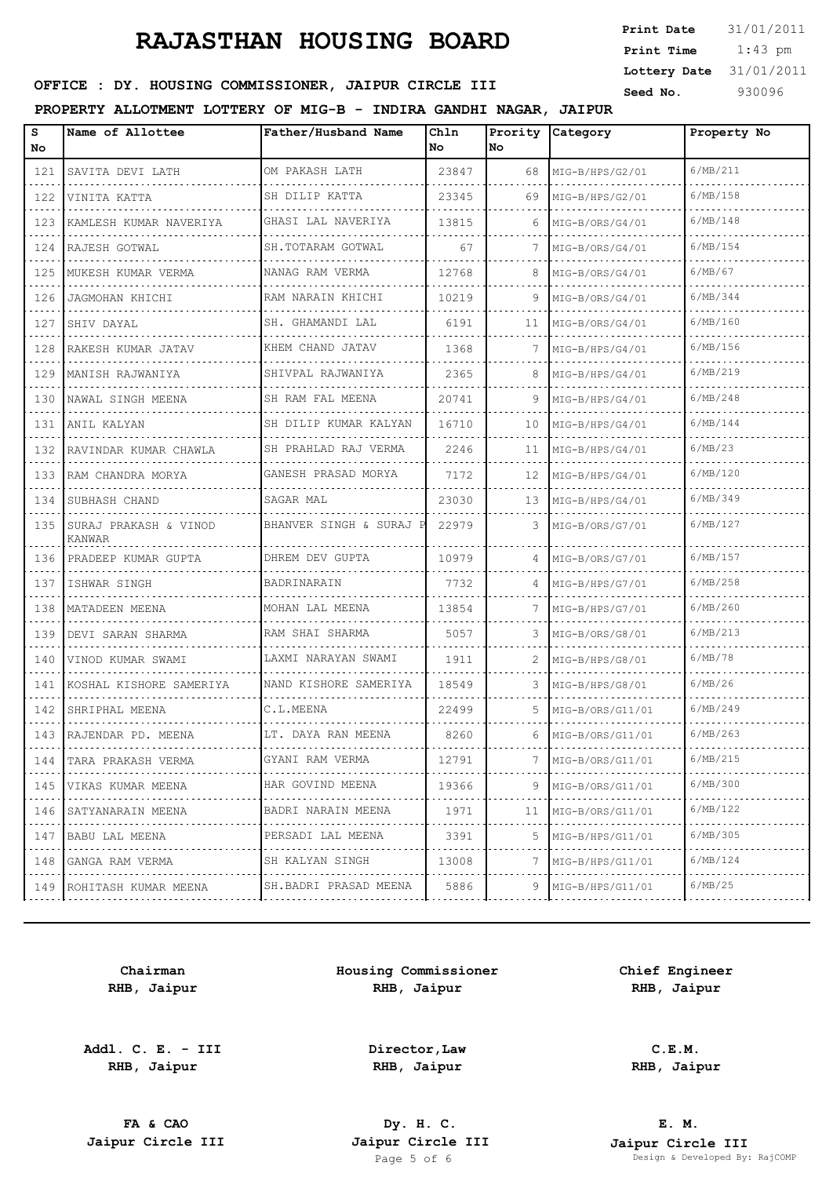1:43 pm **Print Date**  $31/01/2011$ **Print Time Lottery Date** 31/01/2011

### **SEED OFFICE : DY. HOUSING COMMISSIONER, JAIPUR CIRCLE III** Seed No. 330096

**PROPERTY ALLOTMENT LOTTERY OF MIG-B - INDIRA GANDHI NAGAR, JAIPUR**

| s<br>No | Name of Allottee                | Father/Husband Name       | Ch1n<br>No | Prority<br>No | Category              | Property No   |
|---------|---------------------------------|---------------------------|------------|---------------|-----------------------|---------------|
| 121     | SAVITA DEVI LATH                | OM PAKASH LATH            | 23847      | 68            | MIG-B/HPS/G2/01       | 6/MB/211      |
| 122     | VINITA KATTA                    | SH DILIP KATTA            | 23345      | 69            | MIG-B/HPS/G2/01       | 6/MB/158      |
| 123     | KAMLESH KUMAR NAVERIYA          | GHASI LAL NAVERIYA        | 13815      | 6             | MIG-B/ORS/G4/01       | 6/MB/148      |
| 124     | RAJESH GOTWAL                   | SH.TOTARAM GOTWAL         | 67         |               | MIG-B/ORS/G4/01       | 6/MB/154      |
| 125     | MUKESH KUMAR VERMA              | NANAG RAM VERMA           | 12768      |               | MIG-B/ORS/G4/01       | 6/MB/67       |
| 126     | JAGMOHAN KHICHI                 | RAM NARAIN KHICHI         | 10219      | 9.            | MIG-B/ORS/G4/01       | 6/MB/344      |
| 127     | SHIV DAYAL                      | SH. GHAMANDI LAL          | 6191       | 11            | MIG-B/ORS/G4/01       | 6/MB/160      |
| 128     | RAKESH KUMAR JATAV              | KHEM CHAND JATAV          | 1368       |               | MIG-B/HPS/G4/01       | 6/MB/156      |
| 129     | MANISH RAJWANIYA                | .<br>SHIVPAL RAJWANIYA    | 2365       | 8             | MIG-B/HPS/G4/01       | 6/MB/219      |
| 130     | NAWAL SINGH MEENA               | SH RAM FAL MEENA          | 20741      | 9             | MIG-B/HPS/G4/01       | 6/MB/248      |
| 131     | ANIL KALYAN                     | SH DILIP KUMAR KALYAN     | 16710      | 10            | MIG-B/HPS/G4/01       | 6/MB/144      |
| 132     | RAVINDAR KUMAR CHAWLA           | SH PRAHLAD RAJ VERMA      | 2246       | 11            | MIG-B/HPS/G4/01       | 6/MB/23       |
| 133     | RAM CHANDRA MORYA               | GANESH PRASAD MORYA       | 7172       | 12            | MIG-B/HPS/G4/01       | 6/MB/120      |
| 134     | SUBHASH CHAND                   | SAGAR MAL                 | 23030      | 13            | MIG-B/HPS/G4/01       | 6/MB/349      |
| 135     | SURAJ PRAKASH & VINOD<br>KANWAR | BHANVER SINGH & SURAJ P   | 22979      | 3             | MIG-B/ORS/G7/01       | 6/MB/127      |
| 136     | PRADEEP KUMAR GUPTA             | DHREM DEV GUPTA           | 10979      |               | MIG-B/ORS/G7/01       | 6/MB/157      |
| 137     | ISHWAR SINGH                    | BADRINARAIN               | 7732       |               | MIG-B/HPS/G7/01       | 6/MB/258      |
| 138     | MATADEEN MEENA                  | MOHAN LAL MEENA           | 13854      |               | MIG-B/HPS/G7/01       | 6/MB/260      |
| 139     | DEVI SARAN SHARMA               | RAM SHAI SHARMA           | 5057       | 3             | MIG-B/ORS/G8/01       | 6/MB/213      |
| 140     | VINOD KUMAR SWAMI               | LAXMI NARAYAN SWAMI       | 1911       |               | MIG-B/HPS/G8/01       | 6/MB/78       |
| 141     | KOSHAL KISHORE SAMERIYA         | NAND KISHORE SAMERIYA     | 18549      | 3             | MIG-B/HPS/G8/01       | 6/MB/26       |
| 142     | SHRIPHAL MEENA                  | C.L.MEENA                 | 22499      | 5.            | MIG-B/ORS/G11/01      | 6/MB/249      |
| 143     | RAJENDAR PD. MEENA              | LT. DAYA RAN MEENA        | 8260       | 6             | MIG-B/ORS/G11/01      | 6/MB/263      |
| 144 I   | TARA PRAKASH VERMA              | .<br>GYANI RAM VERMA<br>. | 12791      | 7             | .<br>MIG-B/ORS/G11/01 | .<br>6/MB/215 |
| 145     | VIKAS KUMAR MEENA               | HAR GOVIND MEENA          | 19366      | 9             | MIG-B/ORS/G11/01      | 6/MB/300      |
| 146     | SATYANARAIN MEENA               | BADRI NARAIN MEENA<br>.   | 1971       | 11            | MIG-B/ORS/G11/01      | 6/MB/122      |
| 147     | BABU LAL MEENA                  | PERSADI LAL MEENA         | 3391       | 5.            | MIG-B/HPS/G11/01      | 6/MB/305      |
| 148     | GANGA RAM VERMA<br>.            | SH KALYAN SINGH<br>.      | 13008      |               | MIG-B/HPS/G11/01      | 6/MB/124      |
|         | 149 ROHITASH KUMAR MEENA        | SH.BADRI PRASAD MEENA     | 5886       | 9             | MIG-B/HPS/G11/01      | 6/MB/25       |

**Chairman RHB, Jaipur**

**Addl. C. E. - III RHB, Jaipur**

**Housing Commissioner RHB, Jaipur**

**Chief Engineer RHB, Jaipur**

**Director,Law RHB, Jaipur**

**C.E.M. RHB, Jaipur**

**FA & CAO Dy. H. C.**

**E. M. Jaipur Circle III Jaipur Circle III Jaipur Circle III Jaipur Circle III Jaipur Circle III Page 5 of 6 Design & Developed By:** Pesign & Developed By: RajCOMP